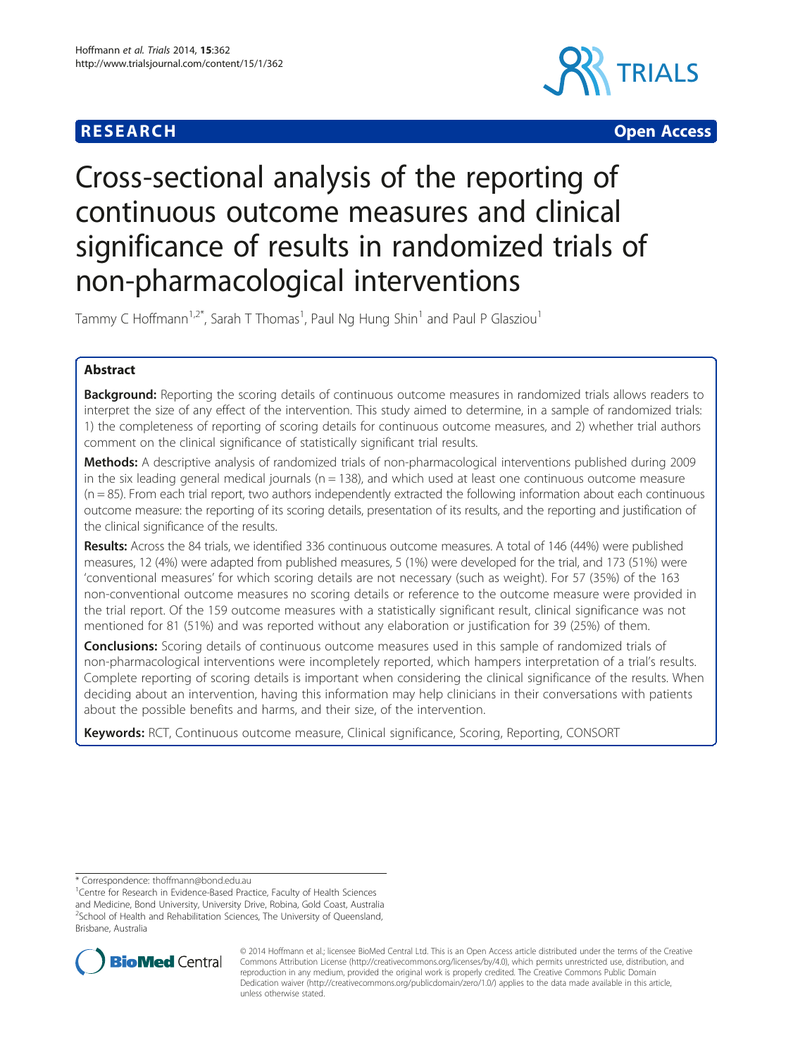



# Cross-sectional analysis of the reporting of continuous outcome measures and clinical significance of results in randomized trials of non-pharmacological interventions

Tammy C Hoffmann<sup>1,2\*</sup>, Sarah T Thomas<sup>1</sup>, Paul Ng Hung Shin<sup>1</sup> and Paul P Glasziou<sup>1</sup>

# Abstract

**Background:** Reporting the scoring details of continuous outcome measures in randomized trials allows readers to interpret the size of any effect of the intervention. This study aimed to determine, in a sample of randomized trials: 1) the completeness of reporting of scoring details for continuous outcome measures, and 2) whether trial authors comment on the clinical significance of statistically significant trial results.

Methods: A descriptive analysis of randomized trials of non-pharmacological interventions published during 2009 in the six leading general medical journals ( $n = 138$ ), and which used at least one continuous outcome measure (n = 85). From each trial report, two authors independently extracted the following information about each continuous outcome measure: the reporting of its scoring details, presentation of its results, and the reporting and justification of the clinical significance of the results.

Results: Across the 84 trials, we identified 336 continuous outcome measures. A total of 146 (44%) were published measures, 12 (4%) were adapted from published measures, 5 (1%) were developed for the trial, and 173 (51%) were 'conventional measures' for which scoring details are not necessary (such as weight). For 57 (35%) of the 163 non-conventional outcome measures no scoring details or reference to the outcome measure were provided in the trial report. Of the 159 outcome measures with a statistically significant result, clinical significance was not mentioned for 81 (51%) and was reported without any elaboration or justification for 39 (25%) of them.

**Conclusions:** Scoring details of continuous outcome measures used in this sample of randomized trials of non-pharmacological interventions were incompletely reported, which hampers interpretation of a trial's results. Complete reporting of scoring details is important when considering the clinical significance of the results. When deciding about an intervention, having this information may help clinicians in their conversations with patients about the possible benefits and harms, and their size, of the intervention.

Keywords: RCT, Continuous outcome measure, Clinical significance, Scoring, Reporting, CONSORT

\* Correspondence: [thoffmann@bond.edu.au](mailto:thoffmann@bond.edu.au) <sup>1</sup>

Centre for Research in Evidence-Based Practice, Faculty of Health Sciences and Medicine, Bond University, University Drive, Robina, Gold Coast, Australia <sup>2</sup>School of Health and Rehabilitation Sciences, The University of Queensland, Brisbane, Australia



© 2014 Hoffmann et al.; licensee BioMed Central Ltd. This is an Open Access article distributed under the terms of the Creative Commons Attribution License [\(http://creativecommons.org/licenses/by/4.0\)](http://creativecommons.org/licenses/by/4.0), which permits unrestricted use, distribution, and reproduction in any medium, provided the original work is properly credited. The Creative Commons Public Domain Dedication waiver [\(http://creativecommons.org/publicdomain/zero/1.0/](http://creativecommons.org/publicdomain/zero/1.0/)) applies to the data made available in this article, unless otherwise stated.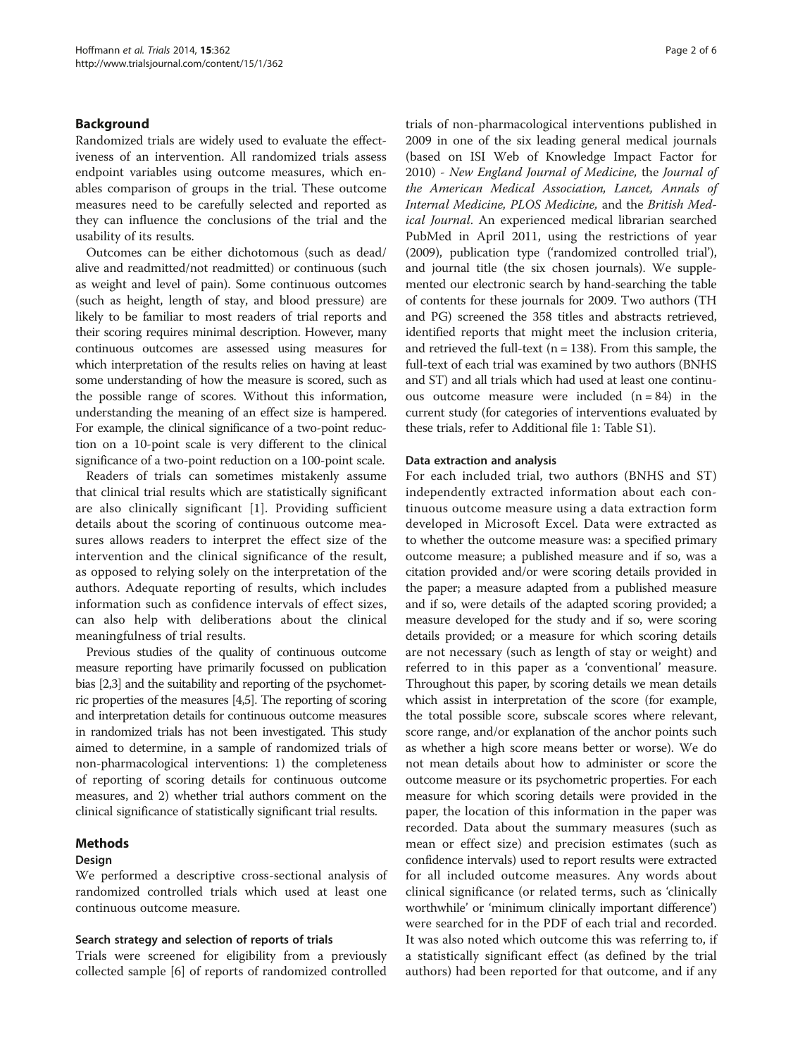# Background

Randomized trials are widely used to evaluate the effectiveness of an intervention. All randomized trials assess endpoint variables using outcome measures, which enables comparison of groups in the trial. These outcome measures need to be carefully selected and reported as they can influence the conclusions of the trial and the usability of its results.

Outcomes can be either dichotomous (such as dead/ alive and readmitted/not readmitted) or continuous (such as weight and level of pain). Some continuous outcomes (such as height, length of stay, and blood pressure) are likely to be familiar to most readers of trial reports and their scoring requires minimal description. However, many continuous outcomes are assessed using measures for which interpretation of the results relies on having at least some understanding of how the measure is scored, such as the possible range of scores. Without this information, understanding the meaning of an effect size is hampered. For example, the clinical significance of a two-point reduction on a 10-point scale is very different to the clinical significance of a two-point reduction on a 100-point scale.

Readers of trials can sometimes mistakenly assume that clinical trial results which are statistically significant are also clinically significant [[1\]](#page-5-0). Providing sufficient details about the scoring of continuous outcome measures allows readers to interpret the effect size of the intervention and the clinical significance of the result, as opposed to relying solely on the interpretation of the authors. Adequate reporting of results, which includes information such as confidence intervals of effect sizes, can also help with deliberations about the clinical meaningfulness of trial results.

Previous studies of the quality of continuous outcome measure reporting have primarily focussed on publication bias [\[2,3](#page-5-0)] and the suitability and reporting of the psychometric properties of the measures [\[4,5](#page-5-0)]. The reporting of scoring and interpretation details for continuous outcome measures in randomized trials has not been investigated. This study aimed to determine, in a sample of randomized trials of non-pharmacological interventions: 1) the completeness of reporting of scoring details for continuous outcome measures, and 2) whether trial authors comment on the clinical significance of statistically significant trial results.

# Methods

#### Design

We performed a descriptive cross-sectional analysis of randomized controlled trials which used at least one continuous outcome measure.

#### Search strategy and selection of reports of trials

Trials were screened for eligibility from a previously collected sample [\[6](#page-5-0)] of reports of randomized controlled

trials of non-pharmacological interventions published in 2009 in one of the six leading general medical journals (based on ISI Web of Knowledge Impact Factor for 2010) - New England Journal of Medicine, the Journal of the American Medical Association, Lancet, Annals of Internal Medicine, PLOS Medicine, and the British Medical Journal. An experienced medical librarian searched PubMed in April 2011, using the restrictions of year (2009), publication type ('randomized controlled trial'), and journal title (the six chosen journals). We supplemented our electronic search by hand-searching the table of contents for these journals for 2009. Two authors (TH and PG) screened the 358 titles and abstracts retrieved, identified reports that might meet the inclusion criteria, and retrieved the full-text ( $n = 138$ ). From this sample, the full-text of each trial was examined by two authors (BNHS and ST) and all trials which had used at least one continuous outcome measure were included  $(n = 84)$  in the current study (for categories of interventions evaluated by these trials, refer to Additional file [1:](#page-5-0) Table S1).

## Data extraction and analysis

For each included trial, two authors (BNHS and ST) independently extracted information about each continuous outcome measure using a data extraction form developed in Microsoft Excel. Data were extracted as to whether the outcome measure was: a specified primary outcome measure; a published measure and if so, was a citation provided and/or were scoring details provided in the paper; a measure adapted from a published measure and if so, were details of the adapted scoring provided; a measure developed for the study and if so, were scoring details provided; or a measure for which scoring details are not necessary (such as length of stay or weight) and referred to in this paper as a 'conventional' measure. Throughout this paper, by scoring details we mean details which assist in interpretation of the score (for example, the total possible score, subscale scores where relevant, score range, and/or explanation of the anchor points such as whether a high score means better or worse). We do not mean details about how to administer or score the outcome measure or its psychometric properties. For each measure for which scoring details were provided in the paper, the location of this information in the paper was recorded. Data about the summary measures (such as mean or effect size) and precision estimates (such as confidence intervals) used to report results were extracted for all included outcome measures. Any words about clinical significance (or related terms, such as 'clinically worthwhile' or 'minimum clinically important difference') were searched for in the PDF of each trial and recorded. It was also noted which outcome this was referring to, if a statistically significant effect (as defined by the trial authors) had been reported for that outcome, and if any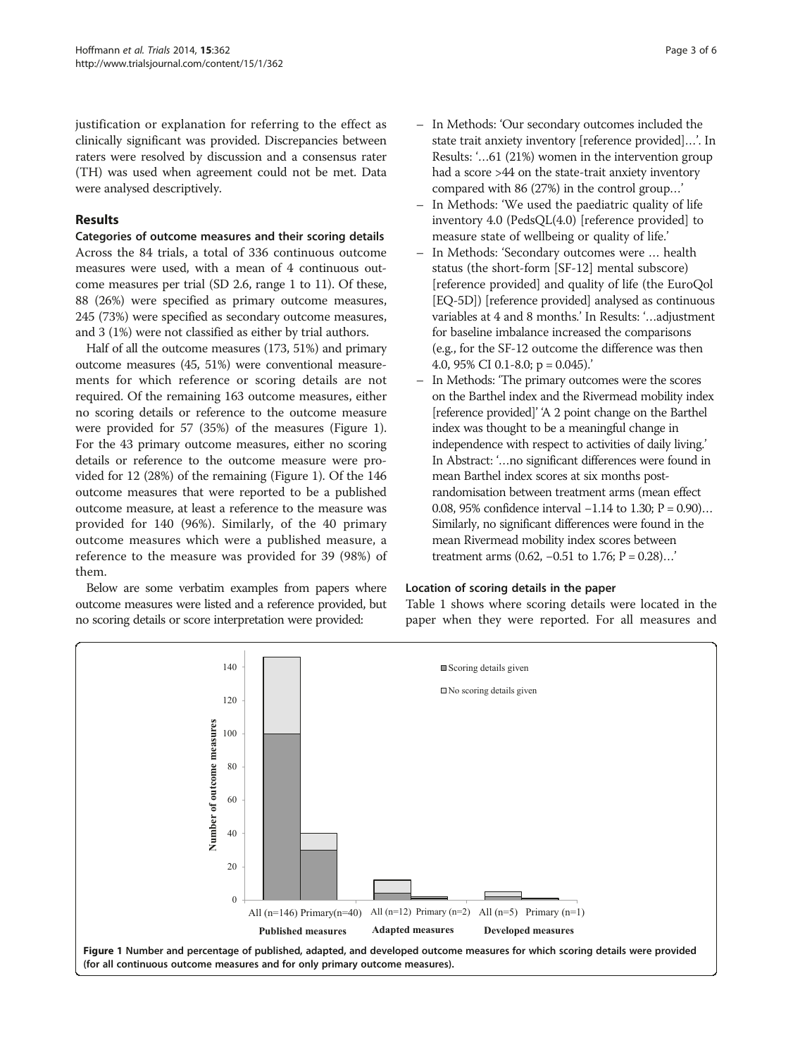justification or explanation for referring to the effect as clinically significant was provided. Discrepancies between raters were resolved by discussion and a consensus rater (TH) was used when agreement could not be met. Data were analysed descriptively.

# Results

Categories of outcome measures and their scoring details Across the 84 trials, a total of 336 continuous outcome measures were used, with a mean of 4 continuous outcome measures per trial (SD 2.6, range 1 to 11). Of these, 88 (26%) were specified as primary outcome measures, 245 (73%) were specified as secondary outcome measures, and 3 (1%) were not classified as either by trial authors.

Half of all the outcome measures (173, 51%) and primary outcome measures (45, 51%) were conventional measurements for which reference or scoring details are not required. Of the remaining 163 outcome measures, either no scoring details or reference to the outcome measure were provided for 57 (35%) of the measures (Figure 1). For the 43 primary outcome measures, either no scoring details or reference to the outcome measure were provided for 12 (28%) of the remaining (Figure 1). Of the 146 outcome measures that were reported to be a published outcome measure, at least a reference to the measure was provided for 140 (96%). Similarly, of the 40 primary outcome measures which were a published measure, a reference to the measure was provided for 39 (98%) of them.

Below are some verbatim examples from papers where outcome measures were listed and a reference provided, but no scoring details or score interpretation were provided:

- In Methods: 'Our secondary outcomes included the state trait anxiety inventory [reference provided]…'. In Results: '…61 (21%) women in the intervention group had a score >44 on the state-trait anxiety inventory compared with 86 (27%) in the control group…'
- In Methods: 'We used the paediatric quality of life inventory 4.0 (PedsQL(4.0) [reference provided] to measure state of wellbeing or quality of life.'
- In Methods: 'Secondary outcomes were ... health status (the short-form [SF-12] mental subscore) [reference provided] and quality of life (the EuroQol [EQ-5D]) [reference provided] analysed as continuous variables at 4 and 8 months.' In Results: '…adjustment for baseline imbalance increased the comparisons (e.g., for the SF-12 outcome the difference was then 4.0, 95% CI 0.1-8.0;  $p = 0.045$ ).'
- In Methods: 'The primary outcomes were the scores on the Barthel index and the Rivermead mobility index [reference provided]' 'A 2 point change on the Barthel index was thought to be a meaningful change in independence with respect to activities of daily living.' In Abstract: '…no significant differences were found in mean Barthel index scores at six months postrandomisation between treatment arms (mean effect 0.08, 95% confidence interval −1.14 to 1.30; P = 0.90)… Similarly, no significant differences were found in the mean Rivermead mobility index scores between treatment arms  $(0.62, -0.51 \text{ to } 1.76; P = 0.28)...'$

#### Location of scoring details in the paper

Table [1](#page-3-0) shows where scoring details were located in the paper when they were reported. For all measures and

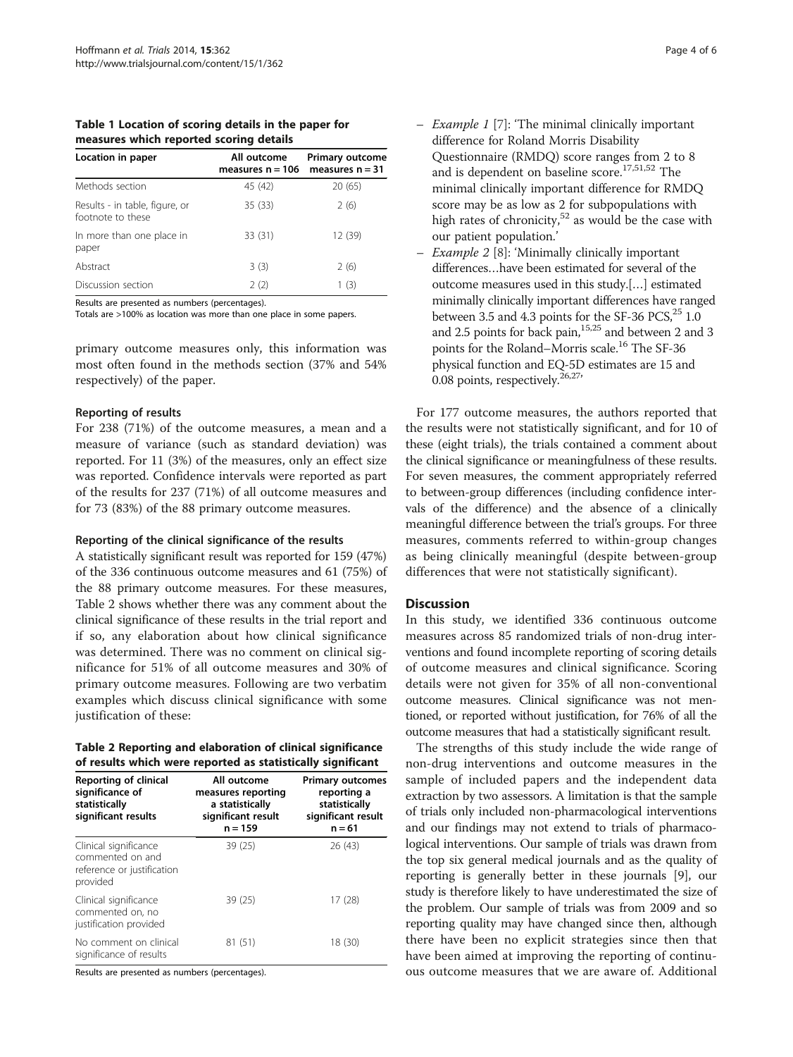<span id="page-3-0"></span>

| Table 1 Location of scoring details in the paper for |  |
|------------------------------------------------------|--|
| measures which reported scoring details              |  |

| Location in paper                                   | All outcome<br>measures $n = 106$ | <b>Primary outcome</b><br>measures $n = 31$ |  |
|-----------------------------------------------------|-----------------------------------|---------------------------------------------|--|
| Methods section                                     | 45 (42)                           | 20 (65)                                     |  |
| Results - in table, figure, or<br>footnote to these | 35(33)                            | 2(6)                                        |  |
| In more than one place in<br>paper                  | 33 (31)                           | 12 (39)                                     |  |
| Abstract                                            | 3(3)                              | 2(6)                                        |  |
| Discussion section                                  | 2(2)                              | 1(3)                                        |  |

Results are presented as numbers (percentages).

Totals are >100% as location was more than one place in some papers.

primary outcome measures only, this information was most often found in the methods section (37% and 54% respectively) of the paper.

#### Reporting of results

For 238 (71%) of the outcome measures, a mean and a measure of variance (such as standard deviation) was reported. For 11 (3%) of the measures, only an effect size was reported. Confidence intervals were reported as part of the results for 237 (71%) of all outcome measures and for 73 (83%) of the 88 primary outcome measures.

### Reporting of the clinical significance of the results

A statistically significant result was reported for 159 (47%) of the 336 continuous outcome measures and 61 (75%) of the 88 primary outcome measures. For these measures, Table 2 shows whether there was any comment about the clinical significance of these results in the trial report and if so, any elaboration about how clinical significance was determined. There was no comment on clinical significance for 51% of all outcome measures and 30% of primary outcome measures. Following are two verbatim examples which discuss clinical significance with some justification of these:

| Table 2 Reporting and elaboration of clinical significance  |  |
|-------------------------------------------------------------|--|
| of results which were reported as statistically significant |  |

| <b>Reporting of clinical</b><br>significance of<br>statistically<br>significant results | All outcome<br>measures reporting<br>a statistically<br>significant result<br>$n = 159$ | <b>Primary outcomes</b><br>reporting a<br>statistically<br>significant result<br>$n = 61$ |  |
|-----------------------------------------------------------------------------------------|-----------------------------------------------------------------------------------------|-------------------------------------------------------------------------------------------|--|
| Clinical significance<br>commented on and<br>reference or justification<br>provided     | 39(25)                                                                                  | 26 (43)                                                                                   |  |
| Clinical significance<br>commented on, no<br>justification provided                     | 39(25)                                                                                  | 17 (28)                                                                                   |  |
| No comment on clinical<br>significance of results                                       | 81 (51)                                                                                 | 18 (30)                                                                                   |  |

Results are presented as numbers (percentages).

- *Example 1* [[7](#page-5-0)]: 'The minimal clinically important difference for Roland Morris Disability Questionnaire (RMDQ) score ranges from 2 to 8 and is dependent on baseline score.<sup>17,51,52</sup> The minimal clinically important difference for RMDQ score may be as low as 2 for subpopulations with high rates of chronicity,<sup>52</sup> as would be the case with our patient population.'
- Example 2 [[8](#page-5-0)]: 'Minimally clinically important differences…have been estimated for several of the outcome measures used in this study.[…] estimated minimally clinically important differences have ranged between 3.5 and 4.3 points for the SF-36 PCS, $^{25}$  1.0 and 2.5 points for back pain,<sup>15,25</sup> and between 2 and 3 points for the Roland–Morris scale.<sup>16</sup> The SF-36 physical function and EQ-5D estimates are 15 and 0.08 points, respectively.<sup>26,27,</sup>

For 177 outcome measures, the authors reported that the results were not statistically significant, and for 10 of these (eight trials), the trials contained a comment about the clinical significance or meaningfulness of these results. For seven measures, the comment appropriately referred to between-group differences (including confidence intervals of the difference) and the absence of a clinically meaningful difference between the trial's groups. For three measures, comments referred to within-group changes as being clinically meaningful (despite between-group differences that were not statistically significant).

### **Discussion**

In this study, we identified 336 continuous outcome measures across 85 randomized trials of non-drug interventions and found incomplete reporting of scoring details of outcome measures and clinical significance. Scoring details were not given for 35% of all non-conventional outcome measures. Clinical significance was not mentioned, or reported without justification, for 76% of all the outcome measures that had a statistically significant result.

The strengths of this study include the wide range of non-drug interventions and outcome measures in the sample of included papers and the independent data extraction by two assessors. A limitation is that the sample of trials only included non-pharmacological interventions and our findings may not extend to trials of pharmacological interventions. Our sample of trials was drawn from the top six general medical journals and as the quality of reporting is generally better in these journals [\[9](#page-5-0)], our study is therefore likely to have underestimated the size of the problem. Our sample of trials was from 2009 and so reporting quality may have changed since then, although there have been no explicit strategies since then that have been aimed at improving the reporting of continuous outcome measures that we are aware of. Additional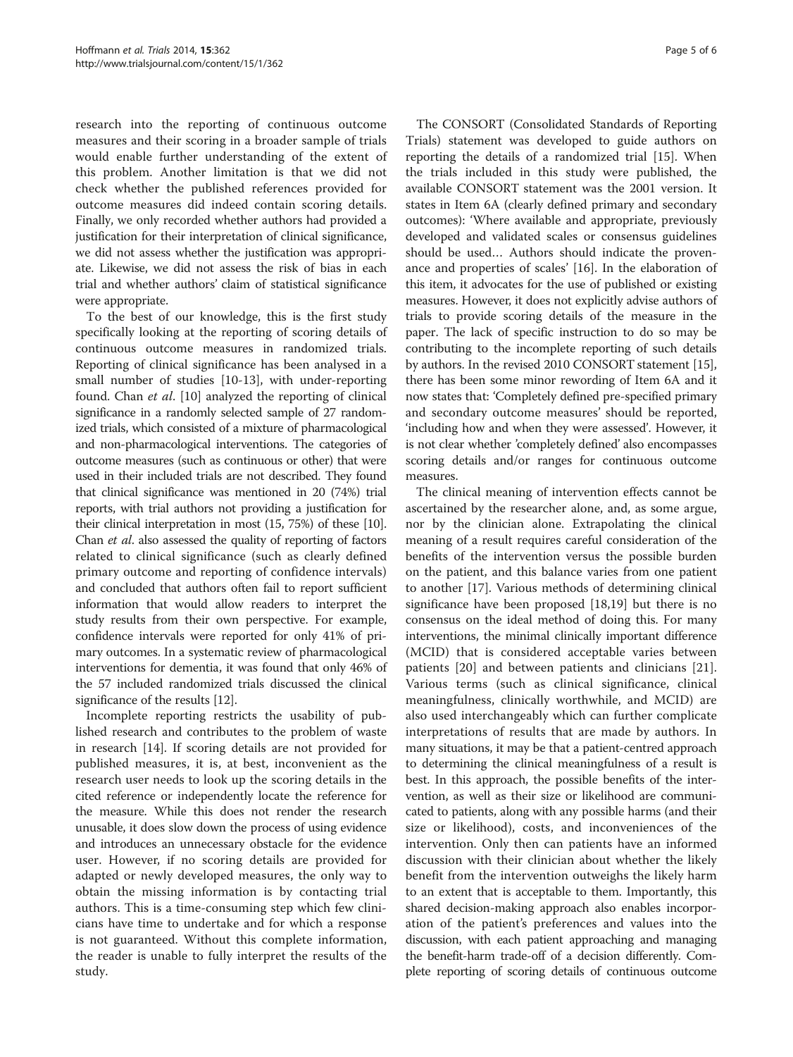research into the reporting of continuous outcome measures and their scoring in a broader sample of trials would enable further understanding of the extent of this problem. Another limitation is that we did not check whether the published references provided for outcome measures did indeed contain scoring details. Finally, we only recorded whether authors had provided a justification for their interpretation of clinical significance, we did not assess whether the justification was appropriate. Likewise, we did not assess the risk of bias in each trial and whether authors' claim of statistical significance were appropriate.

To the best of our knowledge, this is the first study specifically looking at the reporting of scoring details of continuous outcome measures in randomized trials. Reporting of clinical significance has been analysed in a small number of studies [\[10-13](#page-5-0)], with under-reporting found. Chan et al. [\[10](#page-5-0)] analyzed the reporting of clinical significance in a randomly selected sample of 27 randomized trials, which consisted of a mixture of pharmacological and non-pharmacological interventions. The categories of outcome measures (such as continuous or other) that were used in their included trials are not described. They found that clinical significance was mentioned in 20 (74%) trial reports, with trial authors not providing a justification for their clinical interpretation in most (15, 75%) of these [\[10](#page-5-0)]. Chan et al. also assessed the quality of reporting of factors related to clinical significance (such as clearly defined primary outcome and reporting of confidence intervals) and concluded that authors often fail to report sufficient information that would allow readers to interpret the study results from their own perspective. For example, confidence intervals were reported for only 41% of primary outcomes. In a systematic review of pharmacological interventions for dementia, it was found that only 46% of the 57 included randomized trials discussed the clinical significance of the results [\[12\]](#page-5-0).

Incomplete reporting restricts the usability of published research and contributes to the problem of waste in research [\[14](#page-5-0)]. If scoring details are not provided for published measures, it is, at best, inconvenient as the research user needs to look up the scoring details in the cited reference or independently locate the reference for the measure. While this does not render the research unusable, it does slow down the process of using evidence and introduces an unnecessary obstacle for the evidence user. However, if no scoring details are provided for adapted or newly developed measures, the only way to obtain the missing information is by contacting trial authors. This is a time-consuming step which few clinicians have time to undertake and for which a response is not guaranteed. Without this complete information, the reader is unable to fully interpret the results of the study.

The CONSORT (Consolidated Standards of Reporting Trials) statement was developed to guide authors on reporting the details of a randomized trial [[15\]](#page-5-0). When the trials included in this study were published, the available CONSORT statement was the 2001 version. It states in Item 6A (clearly defined primary and secondary outcomes): 'Where available and appropriate, previously developed and validated scales or consensus guidelines should be used… Authors should indicate the provenance and properties of scales' [[16\]](#page-5-0). In the elaboration of this item, it advocates for the use of published or existing measures. However, it does not explicitly advise authors of trials to provide scoring details of the measure in the paper. The lack of specific instruction to do so may be contributing to the incomplete reporting of such details by authors. In the revised 2010 CONSORT statement [[15](#page-5-0)], there has been some minor rewording of Item 6A and it now states that: 'Completely defined pre-specified primary and secondary outcome measures' should be reported, 'including how and when they were assessed'. However, it is not clear whether 'completely defined' also encompasses scoring details and/or ranges for continuous outcome measures.

The clinical meaning of intervention effects cannot be ascertained by the researcher alone, and, as some argue, nor by the clinician alone. Extrapolating the clinical meaning of a result requires careful consideration of the benefits of the intervention versus the possible burden on the patient, and this balance varies from one patient to another [\[17](#page-5-0)]. Various methods of determining clinical significance have been proposed [[18](#page-5-0),[19](#page-5-0)] but there is no consensus on the ideal method of doing this. For many interventions, the minimal clinically important difference (MCID) that is considered acceptable varies between patients [[20](#page-5-0)] and between patients and clinicians [\[21](#page-5-0)]. Various terms (such as clinical significance, clinical meaningfulness, clinically worthwhile, and MCID) are also used interchangeably which can further complicate interpretations of results that are made by authors. In many situations, it may be that a patient-centred approach to determining the clinical meaningfulness of a result is best. In this approach, the possible benefits of the intervention, as well as their size or likelihood are communicated to patients, along with any possible harms (and their size or likelihood), costs, and inconveniences of the intervention. Only then can patients have an informed discussion with their clinician about whether the likely benefit from the intervention outweighs the likely harm to an extent that is acceptable to them. Importantly, this shared decision-making approach also enables incorporation of the patient's preferences and values into the discussion, with each patient approaching and managing the benefit-harm trade-off of a decision differently. Complete reporting of scoring details of continuous outcome